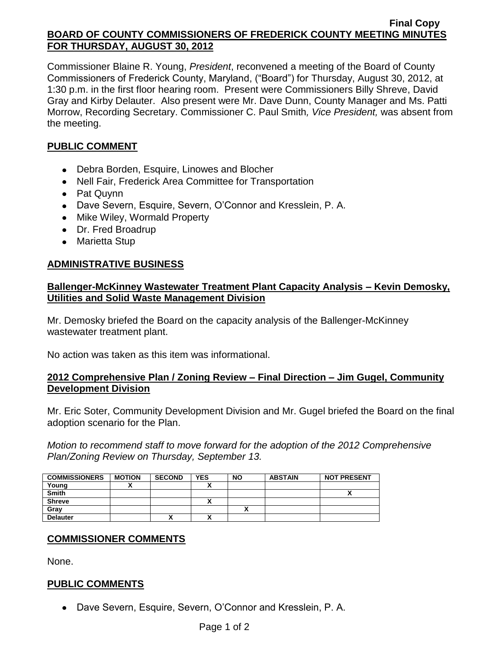#### **Final Copy BOARD OF COUNTY COMMISSIONERS OF FREDERICK COUNTY MEETING MINUTES FOR THURSDAY, AUGUST 30, 2012**

Commissioner Blaine R. Young, *President*, reconvened a meeting of the Board of County Commissioners of Frederick County, Maryland, ("Board") for Thursday, August 30, 2012, at 1:30 p.m. in the first floor hearing room. Present were Commissioners Billy Shreve, David Gray and Kirby Delauter. Also present were Mr. Dave Dunn, County Manager and Ms. Patti Morrow, Recording Secretary. Commissioner C. Paul Smith*, Vice President,* was absent from the meeting.

### **PUBLIC COMMENT**

- Debra Borden, Esquire, Linowes and Blocher
- Nell Fair, Frederick Area Committee for Transportation
- Pat Quynn
- Dave Severn, Esquire, Severn, O'Connor and Kresslein, P. A.
- Mike Wiley, Wormald Property
- Dr. Fred Broadrup
- Marietta Stup

### **ADMINISTRATIVE BUSINESS**

### **Ballenger-McKinney Wastewater Treatment Plant Capacity Analysis – Kevin Demosky, Utilities and Solid Waste Management Division**

Mr. Demosky briefed the Board on the capacity analysis of the Ballenger-McKinney wastewater treatment plant.

No action was taken as this item was informational.

### **2012 Comprehensive Plan / Zoning Review – Final Direction – Jim Gugel, Community Development Division**

Mr. Eric Soter, Community Development Division and Mr. Gugel briefed the Board on the final adoption scenario for the Plan.

*Motion to recommend staff to move forward for the adoption of the 2012 Comprehensive Plan/Zoning Review on Thursday, September 13.*

| <b>COMMISSIONERS</b> | <b>MOTION</b> | <b>SECOND</b> | <b>YES</b> | <b>NO</b> | <b>ABSTAIN</b> | <b>NOT PRESENT</b> |
|----------------------|---------------|---------------|------------|-----------|----------------|--------------------|
| Young                |               |               |            |           |                |                    |
| <b>Smith</b>         |               |               |            |           |                | ,,                 |
| <b>Shreve</b>        |               |               | ^          |           |                |                    |
| Gray                 |               |               |            |           |                |                    |
| <b>Delauter</b>      |               | Λ             | ~          |           |                |                    |

### **COMMISSIONER COMMENTS**

None.

### **PUBLIC COMMENTS**

Dave Severn, Esquire, Severn, O'Connor and Kresslein, P. A.